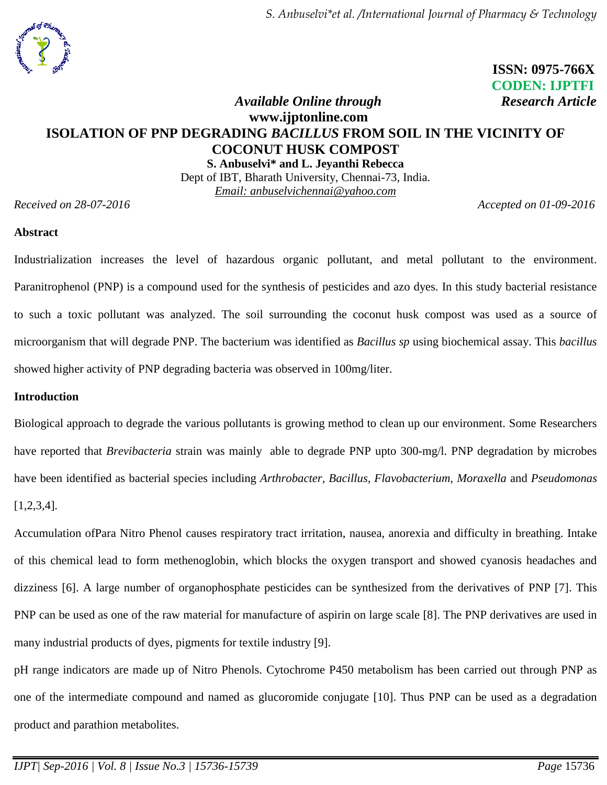

# **ISSN: 0975-766X CODEN: IJPTFI** *Available Online through* Research Article

# **www.ijptonline.com ISOLATION OF PNP DEGRADING** *BACILLUS* **FROM SOIL IN THE VICINITY OF COCONUT HUSK COMPOST S. Anbuselvi\* and L. Jeyanthi Rebecca**

Dept of IBT, Bharath University, Chennai-73, India. *Email: anbuselvichennai@yahoo.com*

*Received on 28-07-2016 Accepted on 01-09-2016*

#### **Abstract**

Industrialization increases the level of hazardous organic pollutant, and metal pollutant to the environment. Paranitrophenol (PNP) is a compound used for the synthesis of pesticides and azo dyes. In this study bacterial resistance to such a toxic pollutant was analyzed. The soil surrounding the coconut husk compost was used as a source of microorganism that will degrade PNP. The bacterium was identified as *Bacillus sp* using biochemical assay. This *bacillus* showed higher activity of PNP degrading bacteria was observed in 100mg/liter.

### **Introduction**

Biological approach to degrade the various pollutants is growing method to clean up our environment. Some Researchers have reported that *Brevibacteria* strain was mainly able to degrade PNP upto 300-mg/l. PNP degradation by microbes have been identified as bacterial species including *Arthrobacter, Bacillus, Flavobacterium, Moraxella* and *Pseudomonas* [1,2,3,4]*.*

Accumulation ofPara Nitro Phenol causes respiratory tract irritation, nausea, anorexia and difficulty in breathing. Intake of this chemical lead to form methenoglobin, which blocks the oxygen transport and showed cyanosis headaches and dizziness [6]. A large number of organophosphate pesticides can be synthesized from the derivatives of PNP [7]. This PNP can be used as one of the raw material for manufacture of aspirin on large scale [8]. The PNP derivatives are used in many industrial products of dyes, pigments for textile industry [9].

pH range indicators are made up of Nitro Phenols. Cytochrome P450 metabolism has been carried out through PNP as one of the intermediate compound and named as glucoromide conjugate [10]. Thus PNP can be used as a degradation product and parathion metabolites.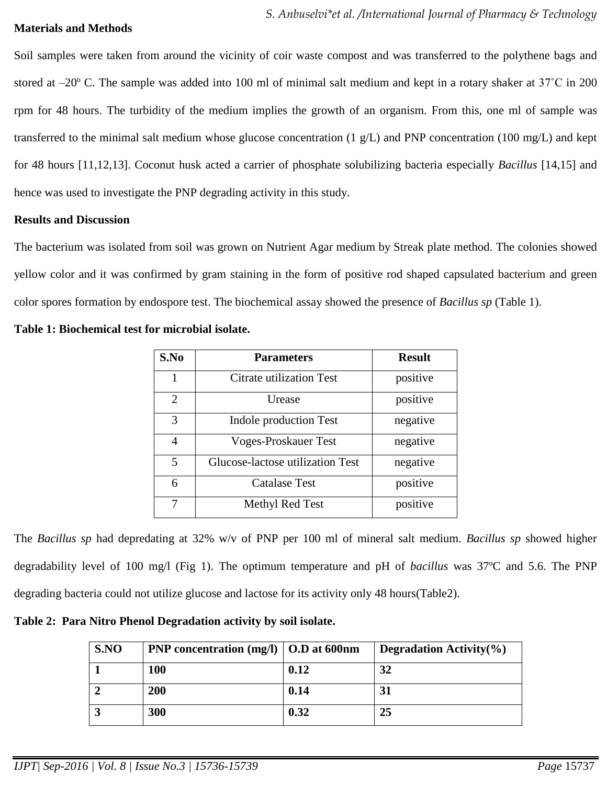### **Materials and Methods**

Soil samples were taken from around the vicinity of coir waste compost and was transferred to the polythene bags and stored at –20º C. The sample was added into 100 ml of minimal salt medium and kept in a rotary shaker at 37˚C in 200 rpm for 48 hours. The turbidity of the medium implies the growth of an organism. From this, one ml of sample was transferred to the minimal salt medium whose glucose concentration (1 g/L) and PNP concentration (100 mg/L) and kept for 48 hours [11,12,13]. Coconut husk acted a carrier of phosphate solubilizing bacteria especially *Bacillus* [14,15] and hence was used to investigate the PNP degrading activity in this study.

#### **Results and Discussion**

The bacterium was isolated from soil was grown on Nutrient Agar medium by Streak plate method. The colonies showed yellow color and it was confirmed by gram staining in the form of positive rod shaped capsulated bacterium and green color spores formation by endospore test. The biochemical assay showed the presence of *Bacillus sp* (Table 1).

| Table 1: Biochemical test for microbial isolate. |  |
|--------------------------------------------------|--|
|--------------------------------------------------|--|

| S.No                  | <b>Parameters</b>                | <b>Result</b> |
|-----------------------|----------------------------------|---------------|
| 1                     | Citrate utilization Test         | positive      |
| $\mathcal{D}_{\cdot}$ | Urease                           | positive      |
| 3                     | Indole production Test           | negative      |
| 4                     | Voges-Proskauer Test             | negative      |
| 5                     | Glucose-lactose utilization Test | negative      |
| 6                     | Catalase Test                    | positive      |
| 7                     | Methyl Red Test                  | positive      |

The *Bacillus sp* had depredating at 32% w/v of PNP per 100 ml of mineral salt medium. *Bacillus sp* showed higher degradability level of 100 mg/l (Fig 1). The optimum temperature and pH of *bacillus* was 37ºC and 5.6. The PNP degrading bacteria could not utilize glucose and lactose for its activity only 48 hours(Table2).

**Table 2: Para Nitro Phenol Degradation activity by soil isolate.**

| S.NO | <b>PNP</b> concentration $(mg/l)$   O.D at 600nm |      | Degradation Activity $(\% )$ |
|------|--------------------------------------------------|------|------------------------------|
|      | <b>100</b>                                       | 0.12 | 32                           |
|      | 200                                              | 0.14 | 31                           |
|      | 300                                              | 0.32 | 25                           |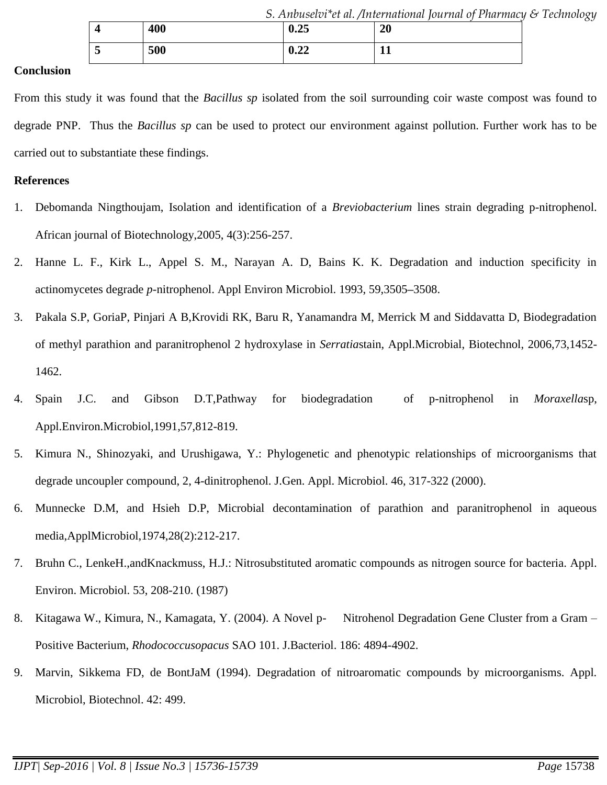|     |      | . Anbuselvi*et al. /International Journal of Pharmacy & Technology |  |
|-----|------|--------------------------------------------------------------------|--|
| 400 | 0.25 | 20                                                                 |  |

From this study it was found that the *Bacillus sp* isolated from the soil surrounding coir waste compost was found to degrade PNP. Thus the *Bacillus sp* can be used to protect our environment against pollution. Further work has to be carried out to substantiate these findings.

**5 500 0.22 11**

#### **References**

- 1. Debomanda Ningthoujam, Isolation and identification of a *Breviobacterium* lines strain degrading p-nitrophenol. African journal of Biotechnology,2005, 4(3):256-257.
- 2. Hanne L. F., Kirk L., Appel S. M., Narayan A. D, Bains K. K. Degradation and induction specificity in actinomycetes degrade *p*-nitrophenol. Appl Environ Microbiol. 1993, 59,3505**–**3508.
- 3. Pakala S.P, GoriaP, Pinjari A B,Krovidi RK, Baru R, Yanamandra M, Merrick M and Siddavatta D, Biodegradation of methyl parathion and paranitrophenol 2 hydroxylase in *Serratia*stain, Appl.Microbial, Biotechnol, 2006,73,1452- 1462.
- 4. Spain J.C. and Gibson D.T,Pathway for biodegradation of p-nitrophenol in *Moraxella*sp, Appl.Environ.Microbiol,1991,57,812-819.
- 5. Kimura N., Shinozyaki, and Urushigawa, Y.: Phylogenetic and phenotypic relationships of microorganisms that degrade uncoupler compound, 2, 4-dinitrophenol. J.Gen. Appl. Microbiol. 46, 317-322 (2000).
- 6. Munnecke D.M, and Hsieh D.P, Microbial decontamination of parathion and paranitrophenol in aqueous media,ApplMicrobiol,1974,28(2):212-217.
- 7. Bruhn C., LenkeH.,andKnackmuss, H.J.: Nitrosubstituted aromatic compounds as nitrogen source for bacteria. Appl. Environ. Microbiol. 53, 208-210. (1987)
- 8. Kitagawa W., Kimura, N., Kamagata, Y. (2004). A Novel p- Nitrohenol Degradation Gene Cluster from a Gram Positive Bacterium, *Rhodococcusopacus* SAO 101. J.Bacteriol. 186: 4894-4902.
- 9. Marvin, Sikkema FD, de BontJaM (1994). Degradation of nitroaromatic compounds by microorganisms. Appl. Microbiol, Biotechnol. 42: 499.